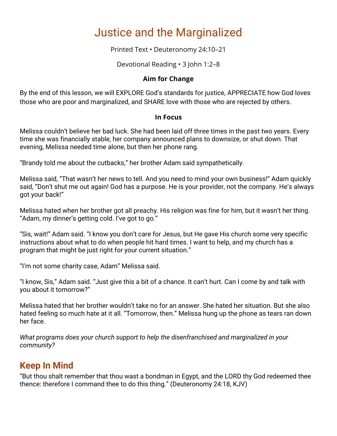# Justice and the Marginalized

Printed Text • Deuteronomy 24:10–21

Devotional Reading • 3 John 1:2–8

### **Aim for Change**

By the end of this lesson, we will EXPLORE God's standards for justice, APPRECIATE how God loves those who are poor and marginalized, and SHARE love with those who are rejected by others.

### **In Focus**

Melissa couldn't believe her bad luck. She had been laid off three times in the past two years. Every time she was financially stable, her company announced plans to downsize, or shut down. That evening, Melissa needed time alone, but then her phone rang.

"Brandy told me about the cutbacks," her brother Adam said sympathetically.

Melissa said, "That wasn't her news to tell. And you need to mind your own business!" Adam quickly said, "Don't shut me out again! God has a purpose. He is your provider, not the company. He's always got your back!"

Melissa hated when her brother got all preachy. His religion was fine for him, but it wasn't her thing. "Adam, my dinner's getting cold. I've got to go."

"Sis, wait!" Adam said. "I know you don't care for Jesus, but He gave His church some very specific instructions about what to do when people hit hard times. I want to help, and my church has a program that might be just right for your current situation."

"I'm not some charity case, Adam" Melissa said.

"I know, Sis," Adam said. "Just give this a bit of a chance. It can't hurt. Can I come by and talk with you about it tomorrow?"

Melissa hated that her brother wouldn't take no for an answer. She hated her situation. But she also hated feeling so much hate at it all. "Tomorrow, then." Melissa hung up the phone as tears ran down her face.

*What programs does your church support to help the disenfranchised and marginalized in your community?*

## **Keep In Mind**

"But thou shalt remember that thou wast a bondman in Egypt, and the LORD thy God redeemed thee thence: therefore I command thee to do this thing." (Deuteronomy 24:18, KJV)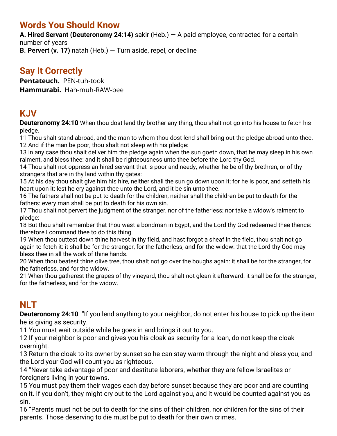## **Words You Should Know**

**A. Hired Servant (Deuteronomy 24:14)** sakir (Heb.) — A paid employee, contracted for a certain number of years

**B. Pervert (v. 17)** natah (Heb.) — Turn aside, repel, or decline

## **Say It Correctly**

**Pentateuch.** PEN-tuh-took **Hammurabi.** Hah-muh-RAW-bee

## **KJV**

**Deuteronomy 24:10** When thou dost lend thy brother any thing, thou shalt not go into his house to fetch his pledge.

11 Thou shalt stand abroad, and the man to whom thou dost lend shall bring out the pledge abroad unto thee. 12 And if the man be poor, thou shalt not sleep with his pledge:

13 In any case thou shalt deliver him the pledge again when the sun goeth down, that he may sleep in his own raiment, and bless thee: and it shall be righteousness unto thee before the Lord thy God.

14 Thou shalt not oppress an hired servant that is poor and needy, whether he be of thy brethren, or of thy strangers that are in thy land within thy gates:

15 At his day thou shalt give him his hire, neither shall the sun go down upon it; for he is poor, and setteth his heart upon it: lest he cry against thee unto the Lord, and it be sin unto thee.

16 The fathers shall not be put to death for the children, neither shall the children be put to death for the fathers: every man shall be put to death for his own sin.

17 Thou shalt not pervert the judgment of the stranger, nor of the fatherless; nor take a widow's raiment to pledge:

18 But thou shalt remember that thou wast a bondman in Egypt, and the Lord thy God redeemed thee thence: therefore I command thee to do this thing.

19 When thou cuttest down thine harvest in thy field, and hast forgot a sheaf in the field, thou shalt not go again to fetch it: it shall be for the stranger, for the fatherless, and for the widow: that the Lord thy God may bless thee in all the work of thine hands.

20 When thou beatest thine olive tree, thou shalt not go over the boughs again: it shall be for the stranger, for the fatherless, and for the widow.

21 When thou gatherest the grapes of thy vineyard, thou shalt not glean it afterward: it shall be for the stranger, for the fatherless, and for the widow.

## **NLT**

**Deuteronomy 24:10** "If you lend anything to your neighbor, do not enter his house to pick up the item he is giving as security.

11 You must wait outside while he goes in and brings it out to you.

12 If your neighbor is poor and gives you his cloak as security for a loan, do not keep the cloak overnight.

13 Return the cloak to its owner by sunset so he can stay warm through the night and bless you, and the Lord your God will count you as righteous.

14 "Never take advantage of poor and destitute laborers, whether they are fellow Israelites or foreigners living in your towns.

15 You must pay them their wages each day before sunset because they are poor and are counting on it. If you don't, they might cry out to the Lord against you, and it would be counted against you as sin.

16 "Parents must not be put to death for the sins of their children, nor children for the sins of their parents. Those deserving to die must be put to death for their own crimes.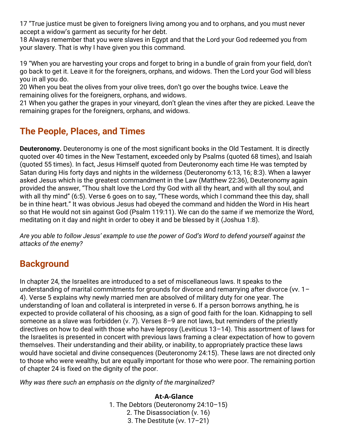17 "True justice must be given to foreigners living among you and to orphans, and you must never accept a widow's garment as security for her debt.

18 Always remember that you were slaves in Egypt and that the Lord your God redeemed you from your slavery. That is why I have given you this command.

19 "When you are harvesting your crops and forget to bring in a bundle of grain from your field, don't go back to get it. Leave it for the foreigners, orphans, and widows. Then the Lord your God will bless you in all you do.

20 When you beat the olives from your olive trees, don't go over the boughs twice. Leave the remaining olives for the foreigners, orphans, and widows.

21 When you gather the grapes in your vineyard, don't glean the vines after they are picked. Leave the remaining grapes for the foreigners, orphans, and widows.

## **The People, Places, and Times**

**Deuteronomy.** Deuteronomy is one of the most significant books in the Old Testament. It is directly quoted over 40 times in the New Testament, exceeded only by Psalms (quoted 68 times), and Isaiah (quoted 55 times). In fact, Jesus Himself quoted from Deuteronomy each time He was tempted by Satan during His forty days and nights in the wilderness (Deuteronomy 6:13, 16; 8:3). When a lawyer asked Jesus which is the greatest commandment in the Law (Matthew 22:36), Deuteronomy again provided the answer, "Thou shalt love the Lord thy God with all thy heart, and with all thy soul, and with all thy mind" (6:5). Verse 6 goes on to say, "These words, which I command thee this day, shall be in thine heart." It was obvious Jesus had obeyed the command and hidden the Word in His heart so that He would not sin against God (Psalm 119:11). We can do the same if we memorize the Word, meditating on it day and night in order to obey it and be blessed by it (Joshua 1:8).

Are you able to follow Jesus' example to use the power of God's Word to defend yourself against the *attacks of the enemy?*

## **Background**

In chapter 24, the Israelites are introduced to a set of miscellaneous laws. It speaks to the understanding of marital commitments for grounds for divorce and remarrying after divorce (vv. 1– 4). Verse 5 explains why newly married men are absolved of military duty for one year. The understanding of loan and collateral is interpreted in verse 6. If a person borrows anything, he is expected to provide collateral of his choosing, as a sign of good faith for the loan. Kidnapping to sell someone as a slave was forbidden (v. 7). Verses 8–9 are not laws, but reminders of the priestly directives on how to deal with those who have leprosy (Leviticus 13–14). This assortment of laws for the Israelites is presented in concert with previous laws framing a clear expectation of how to govern themselves. Their understanding and their ability, or inability, to appropriately practice these laws would have societal and divine consequences (Deuteronomy 24:15). These laws are not directed only to those who were wealthy, but are equally important for those who were poor. The remaining portion of chapter 24 is fixed on the dignity of the poor.

*Why was there such an emphasis on the dignity of the marginalized?*

## **At-A-Glance**

1. The Debtors (Deuteronomy 24:10–15) 2. The Disassociation (v. 16)

3. The Destitute (vv. 17–21)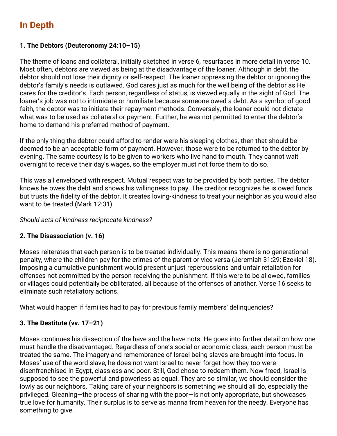## **In Depth**

### **1. The Debtors (Deuteronomy 24:10–15)**

The theme of loans and collateral, initially sketched in verse 6, resurfaces in more detail in verse 10. Most often, debtors are viewed as being at the disadvantage of the loaner. Although in debt, the debtor should not lose their dignity or self-respect. The loaner oppressing the debtor or ignoring the debtor's family's needs is outlawed. God cares just as much for the well being of the debtor as He cares for the creditor's. Each person, regardless of status, is viewed equally in the sight of God. The loaner's job was not to intimidate or humiliate because someone owed a debt. As a symbol of good faith, the debtor was to initiate their repayment methods. Conversely, the loaner could not dictate what was to be used as collateral or payment. Further, he was not permitted to enter the debtor's home to demand his preferred method of payment.

If the only thing the debtor could afford to render were his sleeping clothes, then that should be deemed to be an acceptable form of payment. However, those were to be returned to the debtor by evening. The same courtesy is to be given to workers who live hand to mouth. They cannot wait overnight to receive their day's wages, so the employer must not force them to do so.

This was all enveloped with respect. Mutual respect was to be provided by both parties. The debtor knows he owes the debt and shows his willingness to pay. The creditor recognizes he is owed funds but trusts the fidelity of the debtor. It creates loving-kindness to treat your neighbor as you would also want to be treated (Mark 12:31).

### *Should acts of kindness reciprocate kindness?*

### **2. The Disassociation (v. 16)**

Moses reiterates that each person is to be treated individually. This means there is no generational penalty, where the children pay for the crimes of the parent or vice versa (Jeremiah 31:29; Ezekiel 18). Imposing a cumulative punishment would present unjust repercussions and unfair retaliation for offenses not committed by the person receiving the punishment. If this were to be allowed, families or villages could potentially be obliterated, all because of the offenses of another. Verse 16 seeks to eliminate such retaliatory actions.

What would happen if families had to pay for previous family members' delinquencies?

### **3. The Destitute (vv. 17–21)**

Moses continues his dissection of the have and the have nots. He goes into further detail on how one must handle the disadvantaged. Regardless of one's social or economic class, each person must be treated the same. The imagery and remembrance of Israel being slaves are brought into focus. In Moses' use of the word slave, he does not want Israel to never forget how they too were disenfranchised in Egypt, classless and poor. Still, God chose to redeem them. Now freed, Israel is supposed to see the powerful and powerless as equal. They are so similar, we should consider the lowly as our neighbors. Taking care of your neighbors is something we should all do, especially the privileged. Gleaning—the process of sharing with the poor—is not only appropriate, but showcases true love for humanity. Their surplus is to serve as manna from heaven for the needy. Everyone has something to give.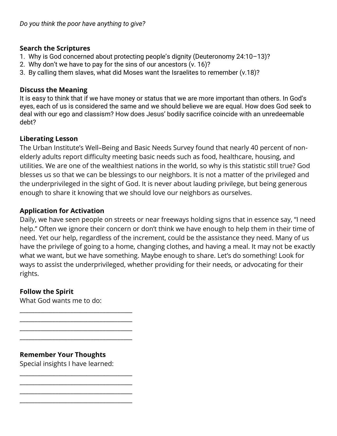### **Search the Scriptures**

- 1. Why is God concerned about protecting people's dignity (Deuteronomy 24:10–13)?
- 2. Why don't we have to pay for the sins of our ancestors (v. 16)?
- 3. By calling them slaves, what did Moses want the Israelites to remember (v.18)?

### **Discuss the Meaning**

It is easy to think that if we have money or status that we are more important than others. In God's eyes, each of us is considered the same and we should believe we are equal. How does God seek to deal with our ego and classism? How does Jesus' bodily sacrifice coincide with an unredeemable debt?

## **Liberating Lesson**

The Urban Institute's Well–Being and Basic Needs Survey found that nearly 40 percent of nonelderly adults report difficulty meeting basic needs such as food, healthcare, housing, and utilities. We are one of the wealthiest nations in the world, so why is this statistic still true? God blesses us so that we can be blessings to our neighbors. It is not a matter of the privileged and the underprivileged in the sight of God. It is never about lauding privilege, but being generous enough to share it knowing that we should love our neighbors as ourselves.

## **Application for Activation**

Daily, we have seen people on streets or near freeways holding signs that in essence say, "I need help." Often we ignore their concern or don't think we have enough to help them in their time of need. Yet our help, regardless of the increment, could be the assistance they need. Many of us have the privilege of going to a home, changing clothes, and having a meal. It may not be exactly what we want, but we have something. Maybe enough to share. Let's do something! Look for ways to assist the underprivileged, whether providing for their needs, or advocating for their rights.

## **Follow the Spirit**

What God wants me to do:

\_\_\_\_\_\_\_\_\_\_\_\_\_\_\_\_\_\_\_\_\_\_\_\_\_\_\_\_\_\_\_\_\_\_\_\_\_\_ \_\_\_\_\_\_\_\_\_\_\_\_\_\_\_\_\_\_\_\_\_\_\_\_\_\_\_\_\_\_\_\_\_\_\_\_\_\_ \_\_\_\_\_\_\_\_\_\_\_\_\_\_\_\_\_\_\_\_\_\_\_\_\_\_\_\_\_\_\_\_\_\_\_\_\_\_ \_\_\_\_\_\_\_\_\_\_\_\_\_\_\_\_\_\_\_\_\_\_\_\_\_\_\_\_\_\_\_\_\_\_\_\_\_\_

**Remember Your Thoughts**

Special insights I have learned:

\_\_\_\_\_\_\_\_\_\_\_\_\_\_\_\_\_\_\_\_\_\_\_\_\_\_\_\_\_\_\_\_\_\_\_\_\_\_ \_\_\_\_\_\_\_\_\_\_\_\_\_\_\_\_\_\_\_\_\_\_\_\_\_\_\_\_\_\_\_\_\_\_\_\_\_\_ \_\_\_\_\_\_\_\_\_\_\_\_\_\_\_\_\_\_\_\_\_\_\_\_\_\_\_\_\_\_\_\_\_\_\_\_\_\_ \_\_\_\_\_\_\_\_\_\_\_\_\_\_\_\_\_\_\_\_\_\_\_\_\_\_\_\_\_\_\_\_\_\_\_\_\_\_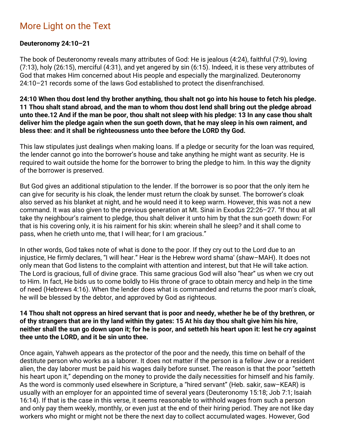## More Light on the Text

### **Deuteronomy 24:10–21**

The book of Deuteronomy reveals many attributes of God: He is jealous (4:24), faithful (7:9), loving (7:13), holy (26:15), merciful (4:31), and yet angered by sin (6:15). Indeed, it is these very attributes of God that makes Him concerned about His people and especially the marginalized. Deuteronomy 24:10–21 records some of the laws God established to protect the disenfranchised.

24:10 When thou dost lend thy brother anything, thou shalt not go into his house to fetch his pledge. 11 Thou shalt stand abroad, and the man to whom thou dost lend shall bring out the pledge abroad unto thee.12 And if the man be poor, thou shalt not sleep with his pledge: 13 In any case thou shalt deliver him the pledge again when the sun goeth down, that he may sleep in his own raiment, and **bless thee: and it shall be righteousness unto thee before the LORD thy God.**

This law stipulates just dealings when making loans. If a pledge or security for the loan was required, the lender cannot go into the borrower's house and take anything he might want as security. He is required to wait outside the home for the borrower to bring the pledge to him. In this way the dignity of the borrower is preserved.

But God gives an additional stipulation to the lender. If the borrower is so poor that the only item he can give for security is his cloak, the lender must return the cloak by sunset. The borrower's cloak also served as his blanket at night, and he would need it to keep warm. However, this was not a new command. It was also given to the previous generation at Mt. Sinai in Exodus 22:26–27. "If thou at all take thy neighbour's raiment to pledge, thou shalt deliver it unto him by that the sun goeth down: For that is his covering only, it is his raiment for his skin: wherein shall he sleep? and it shall come to pass, when he crieth unto me, that I will hear; for I am gracious."

In other words, God takes note of what is done to the poor. If they cry out to the Lord due to an injustice, He firmly declares, "I will hear." Hear is the Hebrew word shama' (shaw–MAH). It does not only mean that God listens to the complaint with attention and interest, but that He will take action. The Lord is gracious, full of divine grace. This same gracious God will also "hear" us when we cry out to Him. In fact, He bids us to come boldly to His throne of grace to obtain mercy and help in the time of need (Hebrews 4:16). When the lender does what is commanded and returns the poor man's cloak, he will be blessed by the debtor, and approved by God as righteous.

#### 14 Thou shalt not oppress an hired servant that is poor and needy, whether he be of thy brethren, or of thy strangers that are in thy land within thy gates: 15 At his day thou shalt give him his hire. neither shall the sun go down upon it; for he is poor, and setteth his heart upon it: lest he cry against **thee unto the LORD, and it be sin unto thee.**

Once again, Yahweh appears as the protector of the poor and the needy, this time on behalf of the destitute person who works as a laborer. It does not matter if the person is a fellow Jew or a resident alien, the day laborer must be paid his wages daily before sunset. The reason is that the poor "setteth his heart upon it," depending on the money to provide the daily necessities for himself and his family. As the word is commonly used elsewhere in Scripture, a "hired servant" (Heb. sakir, saw–KEAR) is usually with an employer for an appointed time of several years (Deuteronomy 15:18; Job 7:1; Isaiah 16:14). If that is the case in this verse, it seems reasonable to withhold wages from such a person and only pay them weekly, monthly, or even just at the end of their hiring period. They are not like day workers who might or might not be there the next day to collect accumulated wages. However, God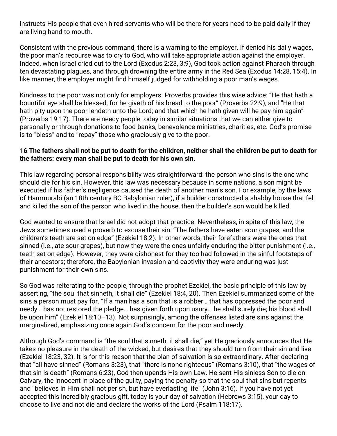instructs His people that even hired servants who will be there for years need to be paid daily if they are living hand to mouth.

Consistent with the previous command, there is a warning to the employer. If denied his daily wages, the poor man's recourse was to cry to God, who will take appropriate action against the employer. Indeed, when Israel cried out to the Lord (Exodus 2:23, 3:9), God took action against Pharaoh through ten devastating plagues, and through drowning the entire army in the Red Sea (Exodus 14:28, 15:4). In like manner, the employer might find himself judged for withholding a poor man's wages.

Kindness to the poor was not only for employers. Proverbs provides this wise advice: "He that hath a bountiful eye shall be blessed; for he giveth of his bread to the poor" (Proverbs 22:9), and "He that hath pity upon the poor lendeth unto the Lord; and that which he hath given will he pay him again" (Proverbs 19:17). There are needy people today in similar situations that we can either give to personally or through donations to food banks, benevolence ministries, charities, etc. God's promise is to "bless" and to "repay" those who graciously give to the poor.

### 16 The fathers shall not be put to death for the children, neither shall the children be put to death for **the fathers: every man shall be put to death for his own sin.**

This law regarding personal responsibility was straightforward: the person who sins is the one who should die for his sin. However, this law was necessary because in some nations, a son might be executed if his father's negligence caused the death of another man's son. For example, by the laws of Hammurabi (an 18th century BC Babylonian ruler), if a builder constructed a shabby house that fell and killed the son of the person who lived in the house, then the builder's son would be killed.

God wanted to ensure that Israel did not adopt that practice. Nevertheless, in spite of this law, the Jews sometimes used a proverb to excuse their sin: "The fathers have eaten sour grapes, and the children's teeth are set on edge" (Ezekiel 18:2). In other words, their forefathers were the ones that sinned (i.e., ate sour grapes), but now they were the ones unfairly enduring the bitter punishment (i.e., teeth set on edge). However, they were dishonest for they too had followed in the sinful footsteps of their ancestors; therefore, the Babylonian invasion and captivity they were enduring was just punishment for their own sins.

So God was reiterating to the people, through the prophet Ezekiel, the basic principle of this law by asserting, "the soul that sinneth, it shall die" (Ezekiel 18:4, 20). Then Ezekiel summarized some of the sins a person must pay for. "If a man has a son that is a robber… that has oppressed the poor and needy… has not restored the pledge… has given forth upon usury… he shall surely die; his blood shall be upon him" (Ezekiel 18:10–13). Not surprisingly, among the offenses listed are sins against the marginalized, emphasizing once again God's concern for the poor and needy.

Although God's command is "the soul that sinneth, it shall die," yet He graciously announces that He takes no pleasure in the death of the wicked, but desires that they should turn from their sin and live (Ezekiel 18:23, 32). It is for this reason that the plan of salvation is so extraordinary. After declaring that "all have sinned" (Romans 3:23), that "there is none righteous" (Romans 3:10), that "the wages of that sin is death" (Romans 6:23), God then upends His own Law. He sent His sinless Son to die on Calvary, the innocent in place of the guilty, paying the penalty so that the soul that sins but repents and "believes in Him shall not perish, but have everlasting life" (John 3:16). If you have not yet accepted this incredibly gracious gift, today is your day of salvation (Hebrews 3:15), your day to choose to live and not die and declare the works of the Lord (Psalm 118:17).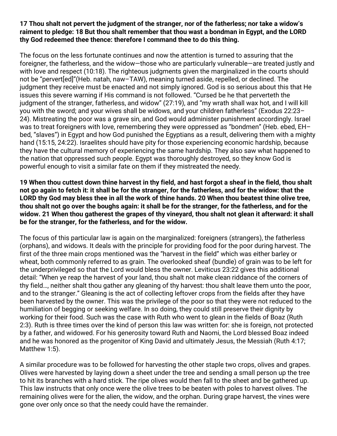### **17 Thou shalt not pervert the judgment of the stranger, nor of the fatherless; nor take a widow's raiment to pledge: 18 But thou shalt remember that thou wast a bondman in Egypt, and the LORD thy God redeemed thee thence: therefore I command thee to do this thing.**

The focus on the less fortunate continues and now the attention is turned to assuring that the foreigner, the fatherless, and the widow—those who are particularly vulnerable—are treated justly and with love and respect (10:18). The righteous judgments given the marginalized in the courts should not be "pervert[ed]"(Heb. natah, naw–TAW), meaning turned aside, repelled, or declined. The judgment they receive must be enacted and not simply ignored. God is so serious about this that He issues this severe warning if His command is not followed. "Cursed be he that perverteth the judgment of the stranger, fatherless, and widow" (27:19), and "my wrath shall wax hot, and I will kill you with the sword; and your wives shall be widows, and your children fatherless" (Exodus 22:23– 24). Mistreating the poor was a grave sin, and God would administer punishment accordingly. Israel was to treat foreigners with love, remembering they were oppressed as "bondmen" (Heb. ebed, EH– bed, "slaves") in Egypt and how God punished the Egyptians as a result, delivering them with a mighty hand (15:15, 24:22). Israelites should have pity for those experiencing economic hardship, because they have the cultural memory of experiencing the same hardship. They also saw what happened to the nation that oppressed such people. Egypt was thoroughly destroyed, so they know God is powerful enough to visit a similar fate on them if they mistreated the needy.

19 When thou cuttest down thine harvest in thy field, and hast forgot a sheaf in the field, thou shalt not go again to fetch it: it shall be for the stranger, for the fatherless, and for the widow: that the LORD thy God may bless thee in all the work of thine hands. 20 When thou beatest thine olive tree, thou shalt not go over the boughs again: it shall be for the stranger, for the fatherless, and for the widow. 21 When thou gatherest the grapes of thy vineyard, thou shalt not glean it afterward: it shall **be for the stranger, for the fatherless, and for the widow.**

The focus of this particular law is again on the marginalized: foreigners (strangers), the fatherless (orphans), and widows. It deals with the principle for providing food for the poor during harvest. The first of the three main crops mentioned was the "harvest in the field" which was either barley or wheat, both commonly referred to as grain. The overlooked sheaf (bundle) of grain was to be left for the underprivileged so that the Lord would bless the owner. Leviticus 23:22 gives this additional detail: "When ye reap the harvest of your land, thou shalt not make clean riddance of the corners of thy field…, neither shalt thou gather any gleaning of thy harvest: thou shalt leave them unto the poor, and to the stranger." Gleaning is the act of collecting leftover crops from the fields after they have been harvested by the owner. This was the privilege of the poor so that they were not reduced to the humiliation of begging or seeking welfare. In so doing, they could still preserve their dignity by working for their food. Such was the case with Ruth who went to glean in the fields of Boaz (Ruth 2:3). Ruth is three times over the kind of person this law was written for: she is foreign, not protected by a father, and widowed. For his generosity toward Ruth and Naomi, the Lord blessed Boaz indeed and he was honored as the progenitor of King David and ultimately Jesus, the Messiah (Ruth 4:17; Matthew 1:5).

A similar procedure was to be followed for harvesting the other staple two crops, olives and grapes. Olives were harvested by laying down a sheet under the tree and sending a small person up the tree to hit its branches with a hard stick. The ripe olives would then fall to the sheet and be gathered up. This law instructs that only once were the olive trees to be beaten with poles to harvest olives. The remaining olives were for the alien, the widow, and the orphan. During grape harvest, the vines were gone over only once so that the needy could have the remainder.